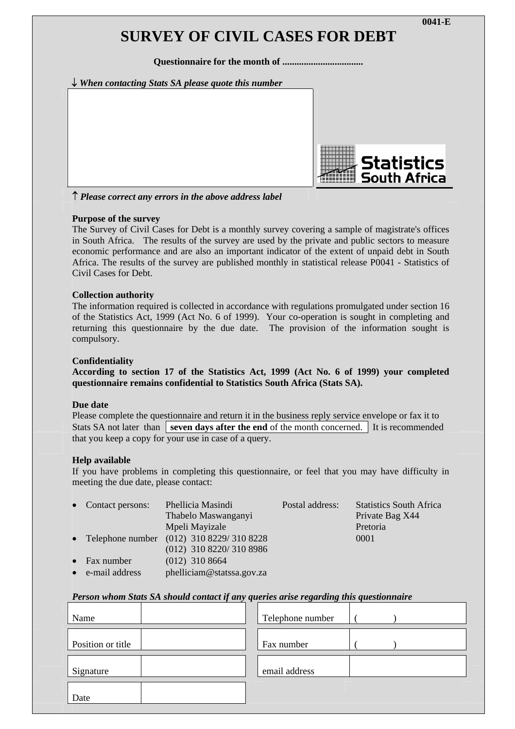# **SURVEY OF CIVIL CASES FOR DEBT**

**Questionnaire for the month of ..................................** 





↑ *Please correct any errors in the above address label*

## **Purpose of the survey**

The Survey of Civil Cases for Debt is a monthly survey covering a sample of magistrate's offices in South Africa. The results of the survey are used by the private and public sectors to measure economic performance and are also an important indicator of the extent of unpaid debt in South Africa. The results of the survey are published monthly in statistical release P0041 - Statistics of Civil Cases for Debt.

#### **Collection authority**

The information required is collected in accordance with regulations promulgated under section 16 of the Statistics Act, 1999 (Act No. 6 of 1999). Your co-operation is sought in completing and returning this questionnaire by the due date. The provision of the information sought is compulsory.

#### **Confidentiality**

**According to section 17 of the Statistics Act, 1999 (Act No. 6 of 1999) your completed questionnaire remains confidential to Statistics South Africa (Stats SA).** 

#### **Due date**

Please complete the questionnaire and return it in the business reply service envelope or fax it to Stats SA not later than **seven days after the end** of the month concerned. It is recommended that you keep a copy for your use in case of a query.

#### **Help available**

If you have problems in completing this questionnaire, or feel that you may have difficulty in meeting the due date, please contact:

| • Contact persons:   | Phellicia Masindi                          | Postal address: | <b>Statistics South Africa</b> |
|----------------------|--------------------------------------------|-----------------|--------------------------------|
|                      | Thabelo Maswanganyi                        |                 | Private Bag X44                |
|                      | Mpeli Mayizale                             |                 | Pretoria                       |
|                      | • Telephone number (012) 310 8229/310 8228 |                 | 0001                           |
|                      | $(012)$ 310 8220/310 8986                  |                 |                                |
| $\bullet$ Fax number | $(012)$ 310 8664                           |                 |                                |
| • e-mail address     | phelliciam@statssa.gov.za                  |                 |                                |

## *Person whom Stats SA should contact if any queries arise regarding this questionnaire*

| Name              | Telephone number |
|-------------------|------------------|
| Position or title | Fax number       |
| Signature         | email address    |
| Date              |                  |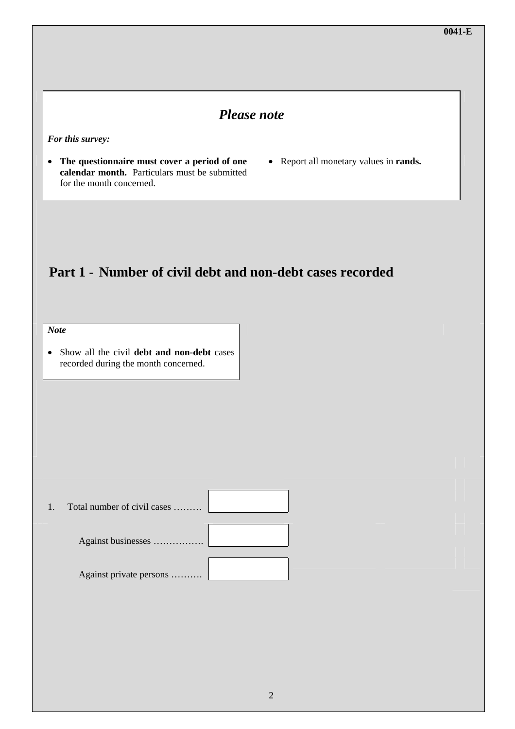# *Please note*

*For this survey:* 

- **The questionnaire must cover a period of one calendar month.** Particulars must be submitted for the month concerned.
- Report all monetary values in **rands.**

# **Part 1 - Number of civil debt and non-debt cases recorded**

*Note* 

• Show all the civil **debt and non-debt** cases recorded during the month concerned.

1. Total number of civil cases ………

Against businesses …………….

Against private persons ……….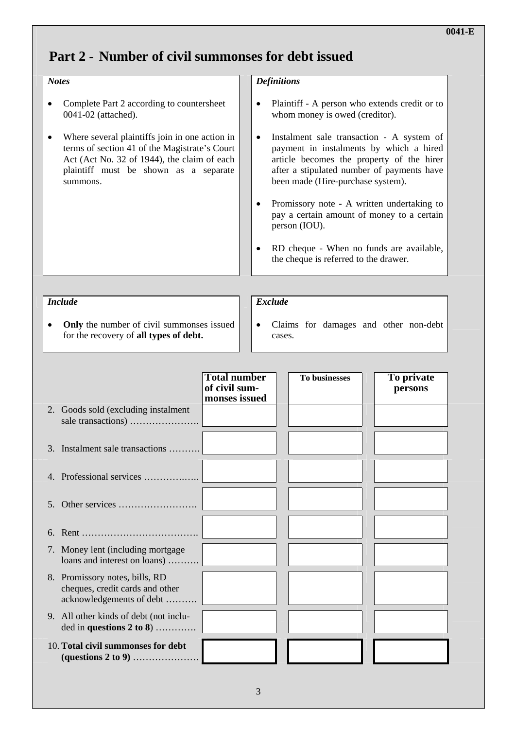# **Part 2 - Number of civil summonses for debt issued**

## *Notes*

- Complete Part 2 according to countersheet 0041-02 (attached).
- Where several plaintiffs join in one action in terms of section 41 of the Magistrate's Court Act (Act No. 32 of 1944), the claim of each plaintiff must be shown as a separate summons.

## *Definitions*

- Plaintiff A person who extends credit or to whom money is owed (creditor).
- Instalment sale transaction A system of payment in instalments by which a hired article becomes the property of the hirer after a stipulated number of payments have been made (Hire-purchase system).
- Promissory note A written undertaking to pay a certain amount of money to a certain person (IOU).
- RD cheque When no funds are available, the cheque is referred to the drawer.

#### *Include*

# • **Only** the number of civil summonses issued for the recovery of **all types of debt.**

# *Exclude*

• Claims for damages and other non-debt cases.

|                                                                                               | <b>Total number</b><br>of civil sum-<br>monses issued | <b>To businesses</b> | To private<br>persons |
|-----------------------------------------------------------------------------------------------|-------------------------------------------------------|----------------------|-----------------------|
| 2. Goods sold (excluding instalment)                                                          |                                                       |                      |                       |
| 3. Instalment sale transactions                                                               |                                                       |                      |                       |
| 4. Professional services                                                                      |                                                       |                      |                       |
| $5_{-}$                                                                                       |                                                       |                      |                       |
|                                                                                               |                                                       |                      |                       |
| 7. Money lent (including mortgage<br>loans and interest on loans)                             |                                                       |                      |                       |
| 8. Promissory notes, bills, RD<br>cheques, credit cards and other<br>acknowledgements of debt |                                                       |                      |                       |
| 9. All other kinds of debt (not inclu-<br>ded in questions $2 \text{ to } 8)$                 |                                                       |                      |                       |
| 10. Total civil summonses for debt                                                            |                                                       |                      |                       |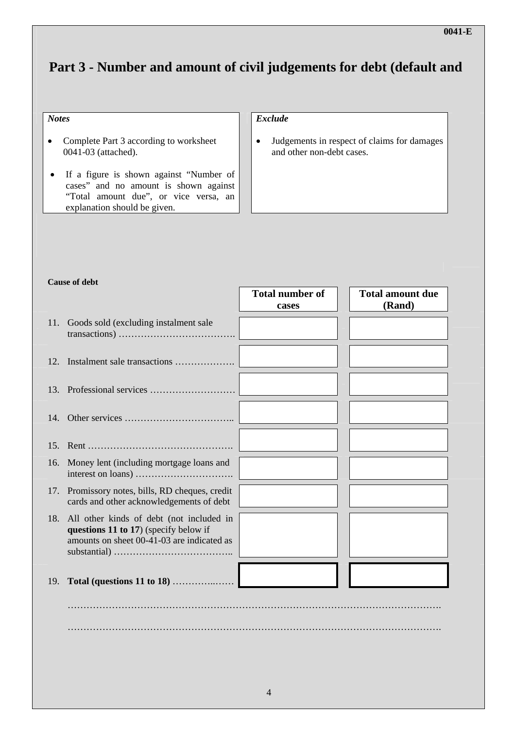# **Part 3 - Number and amount of civil judgements for debt (default and**

## *Notes*

- Complete Part 3 according to worksheet 0041-03 (attached).
- If a figure is shown against "Number of cases" and no amount is shown against "Total amount due", or vice versa, an explanation should be given.

## *Exclude*

• Judgements in respect of claims for damages and other non-debt cases.

|     | <b>Cause of debt</b>                                                                        |                        |                         |
|-----|---------------------------------------------------------------------------------------------|------------------------|-------------------------|
|     |                                                                                             | <b>Total number of</b> | <b>Total amount due</b> |
|     |                                                                                             | cases                  | (Rand)                  |
| 11. | Goods sold (excluding instalment sale                                                       |                        |                         |
|     |                                                                                             |                        |                         |
| 12. | Instalment sale transactions                                                                |                        |                         |
|     |                                                                                             |                        |                         |
|     |                                                                                             |                        |                         |
|     |                                                                                             |                        |                         |
|     |                                                                                             |                        |                         |
| 15. |                                                                                             |                        |                         |
| 16. | Money lent (including mortgage loans and                                                    |                        |                         |
|     | 17. Promissory notes, bills, RD cheques, credit<br>cards and other acknowledgements of debt |                        |                         |
| 18. | All other kinds of debt (not included in<br>questions 11 to 17) (specify below if           |                        |                         |
|     | amounts on sheet 00-41-03 are indicated as                                                  |                        |                         |
|     |                                                                                             |                        |                         |
|     |                                                                                             |                        |                         |
| 19. |                                                                                             |                        |                         |
|     |                                                                                             |                        |                         |
|     |                                                                                             |                        |                         |
|     |                                                                                             |                        |                         |
|     |                                                                                             |                        |                         |
|     |                                                                                             |                        |                         |
|     |                                                                                             |                        |                         |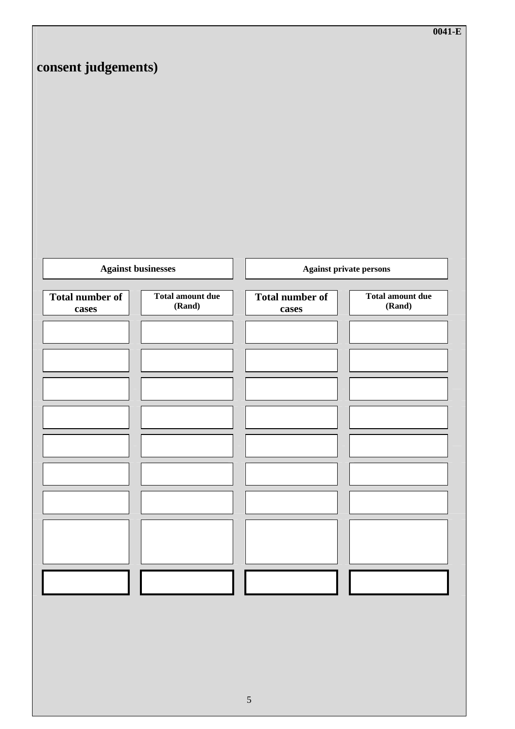|                           |                         |                        | $0041-E$                       |
|---------------------------|-------------------------|------------------------|--------------------------------|
| consent judgements)       |                         |                        |                                |
|                           |                         |                        |                                |
|                           |                         |                        |                                |
|                           |                         |                        |                                |
|                           |                         |                        |                                |
|                           |                         |                        |                                |
|                           |                         |                        |                                |
|                           |                         |                        |                                |
|                           |                         |                        |                                |
|                           |                         |                        |                                |
| <b>Against businesses</b> |                         |                        | <b>Against private persons</b> |
| <b>Total number of</b>    | <b>Total amount due</b> | <b>Total number of</b> | <b>Total amount due</b>        |
| cases                     | (Rand)                  | cases                  | (Rand)                         |
|                           |                         |                        |                                |
|                           |                         |                        |                                |
|                           |                         |                        |                                |
|                           |                         |                        |                                |
|                           |                         |                        |                                |
|                           |                         |                        |                                |
|                           |                         |                        |                                |
|                           |                         |                        |                                |
|                           |                         |                        |                                |
|                           |                         |                        |                                |
|                           |                         |                        |                                |
|                           |                         |                        |                                |
|                           |                         |                        |                                |
|                           |                         |                        |                                |
|                           |                         |                        |                                |
|                           |                         |                        |                                |
|                           |                         |                        |                                |
|                           |                         | $\sqrt{5}$             |                                |